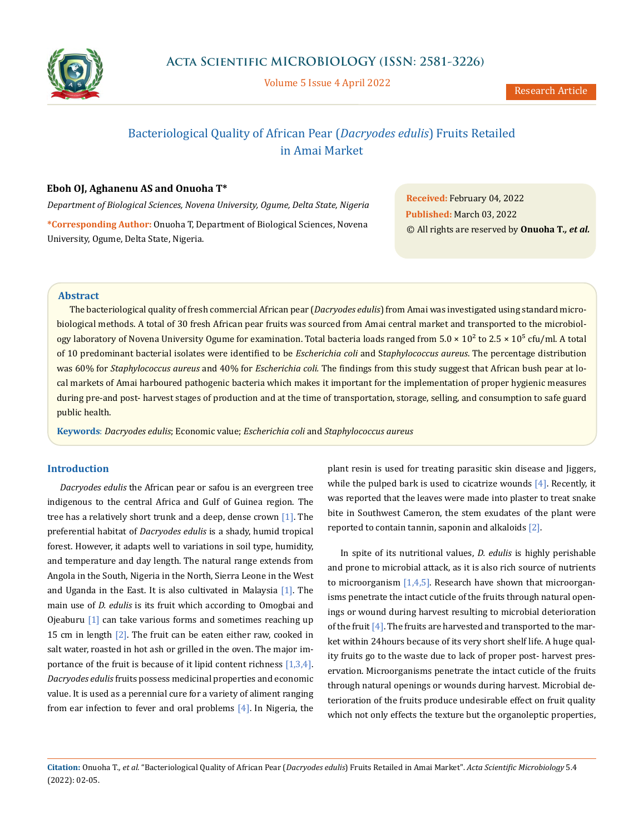

Volume 5 Issue 4 April 2022

# Bacteriological Quality of African Pear (*Dacryodes edulis*) Fruits Retailed in Amai Market

# **Eboh OJ, Aghanenu AS and Onuoha T\***

*Department of Biological Sciences, Novena University, Ogume, Delta State, Nigeria* **\*Corresponding Author:** Onuoha T, Department of Biological Sciences, Novena University, Ogume, Delta State, Nigeria.

**Received:** February 04, 2022 **Published:** March 03, 2022 © All rights are reserved by **Onuoha T***., et al.*

# **Abstract**

The bacteriological quality of fresh commercial African pear (*Dacryodes edulis*) from Amai was investigated using standard microbiological methods. A total of 30 fresh African pear fruits was sourced from Amai central market and transported to the microbiology laboratory of Novena University Ogume for examination. Total bacteria loads ranged from  $5.0 \times 10^2$  to  $2.5 \times 10^5$  cfu/ml. A total of 10 predominant bacterial isolates were identified to be *Escherichia coli* and S*taphylococcus aureus*. The percentage distribution was 60% for *Staphylococcus aureus* and 40% for *Escherichia coli.* The findings from this study suggest that African bush pear at local markets of Amai harboured pathogenic bacteria which makes it important for the implementation of proper hygienic measures during pre-and post- harvest stages of production and at the time of transportation, storage, selling, and consumption to safe guard public health.

**Keywords**: *Dacryodes edulis*; Economic value; *Escherichia coli* and *Staphylococcus aureus*

# **Introduction**

*Dacryodes edulis* the African pear or safou is an evergreen tree indigenous to the central Africa and Gulf of Guinea region. The tree has a relatively short trunk and a deep, dense crown [1]. The preferential habitat of *Dacryodes edulis* is a shady, humid tropical forest. However, it adapts well to variations in soil type, humidity, and temperature and day length. The natural range extends from Angola in the South, Nigeria in the North, Sierra Leone in the West and Uganda in the East. It is also cultivated in Malaysia [1]. The main use of *D. edulis* is its fruit which according to Omogbai and Ojeaburu [1] can take various forms and sometimes reaching up 15 cm in length [2]. The fruit can be eaten either raw, cooked in salt water, roasted in hot ash or grilled in the oven. The major importance of the fruit is because of it lipid content richness [1,3,4]. *Dacryodes edulis* fruits possess medicinal properties and economic value. It is used as a perennial cure for a variety of aliment ranging from ear infection to fever and oral problems [4]. In Nigeria, the plant resin is used for treating parasitic skin disease and Jiggers, while the pulped bark is used to cicatrize wounds  $[4]$ . Recently, it was reported that the leaves were made into plaster to treat snake bite in Southwest Cameron, the stem exudates of the plant were reported to contain tannin, saponin and alkaloids [2].

In spite of its nutritional values, *D. edulis* is highly perishable and prone to microbial attack, as it is also rich source of nutrients to microorganism  $[1,4,5]$ . Research have shown that microorganisms penetrate the intact cuticle of the fruits through natural openings or wound during harvest resulting to microbial deterioration of the fruit  $[4]$ . The fruits are harvested and transported to the market within 24hours because of its very short shelf life. A huge quality fruits go to the waste due to lack of proper post- harvest preservation. Microorganisms penetrate the intact cuticle of the fruits through natural openings or wounds during harvest. Microbial deterioration of the fruits produce undesirable effect on fruit quality which not only effects the texture but the organoleptic properties,

**Citation:** Onuoha T*., et al.* "Bacteriological Quality of African Pear (*Dacryodes edulis*) Fruits Retailed in Amai Market". *Acta Scientific Microbiology* 5.4 (2022): 02-05.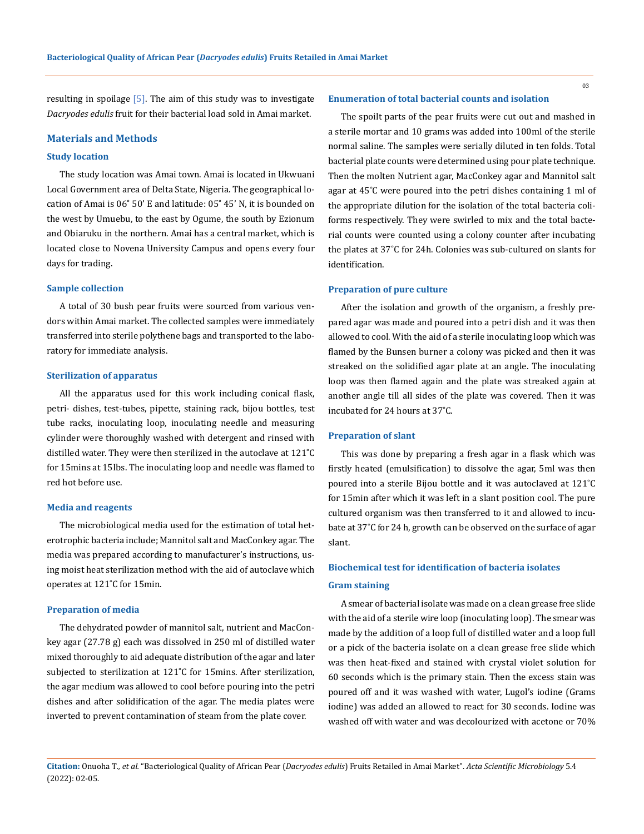03

resulting in spoilage  $[5]$ . The aim of this study was to investigate *Dacryodes edulis* fruit for their bacterial load sold in Amai market.

### **Materials and Methods**

#### **Study location**

The study location was Amai town. Amai is located in Ukwuani Local Government area of Delta State, Nigeria. The geographical location of Amai is 06˚ 50' E and latitude: 05˚ 45' N, it is bounded on the west by Umuebu, to the east by Ogume, the south by Ezionum and Obiaruku in the northern. Amai has a central market, which is located close to Novena University Campus and opens every four days for trading.

#### **Sample collection**

A total of 30 bush pear fruits were sourced from various vendors within Amai market. The collected samples were immediately transferred into sterile polythene bags and transported to the laboratory for immediate analysis.

### **Sterilization of apparatus**

All the apparatus used for this work including conical flask, petri- dishes, test-tubes, pipette, staining rack, bijou bottles, test tube racks, inoculating loop, inoculating needle and measuring cylinder were thoroughly washed with detergent and rinsed with distilled water. They were then sterilized in the autoclave at 121˚C for 15mins at 15Ibs. The inoculating loop and needle was flamed to red hot before use.

#### **Media and reagents**

The microbiological media used for the estimation of total heterotrophic bacteria include; Mannitol salt and MacConkey agar. The media was prepared according to manufacturer's instructions, using moist heat sterilization method with the aid of autoclave which operates at 121˚C for 15min.

## **Preparation of media**

The dehydrated powder of mannitol salt, nutrient and MacConkey agar (27.78 g) each was dissolved in 250 ml of distilled water mixed thoroughly to aid adequate distribution of the agar and later subjected to sterilization at 121˚C for 15mins. After sterilization, the agar medium was allowed to cool before pouring into the petri dishes and after solidification of the agar. The media plates were inverted to prevent contamination of steam from the plate cover.

#### **Enumeration of total bacterial counts and isolation**

The spoilt parts of the pear fruits were cut out and mashed in a sterile mortar and 10 grams was added into 100ml of the sterile normal saline. The samples were serially diluted in ten folds. Total bacterial plate counts were determined using pour plate technique. Then the molten Nutrient agar, MacConkey agar and Mannitol salt agar at 45˚C were poured into the petri dishes containing 1 ml of the appropriate dilution for the isolation of the total bacteria coliforms respectively. They were swirled to mix and the total bacterial counts were counted using a colony counter after incubating the plates at 37˚C for 24h. Colonies was sub-cultured on slants for identification.

## **Preparation of pure culture**

After the isolation and growth of the organism, a freshly prepared agar was made and poured into a petri dish and it was then allowed to cool. With the aid of a sterile inoculating loop which was flamed by the Bunsen burner a colony was picked and then it was streaked on the solidified agar plate at an angle. The inoculating loop was then flamed again and the plate was streaked again at another angle till all sides of the plate was covered. Then it was incubated for 24 hours at 37˚C.

#### **Preparation of slant**

This was done by preparing a fresh agar in a flask which was firstly heated (emulsification) to dissolve the agar, 5ml was then poured into a sterile Bijou bottle and it was autoclaved at 121˚C for 15min after which it was left in a slant position cool. The pure cultured organism was then transferred to it and allowed to incubate at 37˚C for 24 h, growth can be observed on the surface of agar slant.

# **Biochemical test for identification of bacteria isolates Gram staining**

A smear of bacterial isolate was made on a clean grease free slide with the aid of a sterile wire loop (inoculating loop). The smear was made by the addition of a loop full of distilled water and a loop full or a pick of the bacteria isolate on a clean grease free slide which was then heat-fixed and stained with crystal violet solution for 60 seconds which is the primary stain. Then the excess stain was poured off and it was washed with water, Lugol's iodine (Grams iodine) was added an allowed to react for 30 seconds. Iodine was washed off with water and was decolourized with acetone or 70%

**Citation:** Onuoha T*., et al.* "Bacteriological Quality of African Pear (*Dacryodes edulis*) Fruits Retailed in Amai Market". *Acta Scientific Microbiology* 5.4 (2022): 02-05.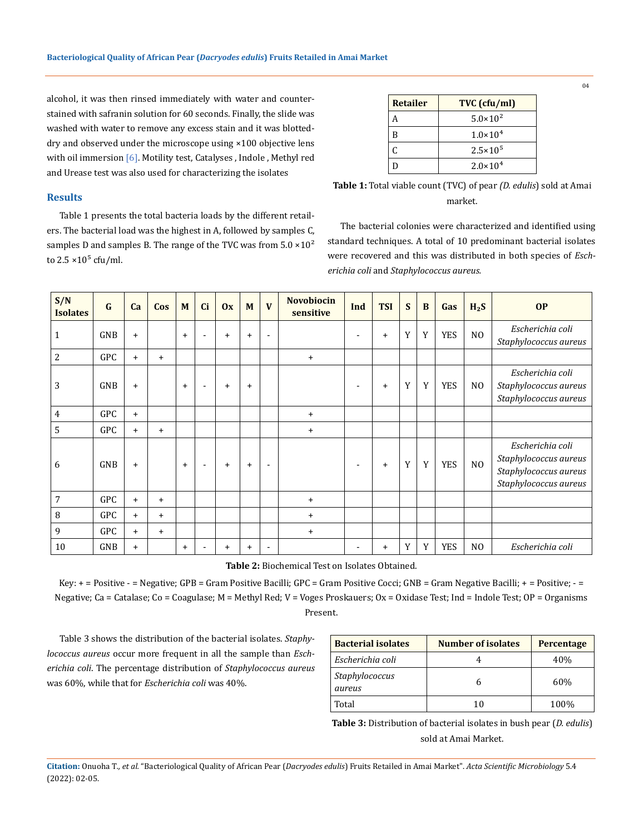alcohol, it was then rinsed immediately with water and counterstained with safranin solution for 60 seconds. Finally, the slide was washed with water to remove any excess stain and it was blotteddry and observed under the microscope using ×100 objective lens with oil immersion [6]. Motility test, Catalyses, Indole, Methyl red and Urease test was also used for characterizing the isolates

# **Results**

Table 1 presents the total bacteria loads by the different retailers. The bacterial load was the highest in A, followed by samples C, samples D and samples B. The range of the TVC was from  $5.0 \times 10^2$ to  $2.5 \times 10^5$  cfu/ml.

| <b>Retailer</b> | TVC (cfu/ml)        |
|-----------------|---------------------|
| А               | $5.0 \times 10^{2}$ |
| B               | $1.0 \times 10^{4}$ |
| C               | $2.5 \times 10^{5}$ |
| D               | $2.0 \times 10^{4}$ |

| <b>Table 1:</b> Total viable count (TVC) of pear <i>(D. edulis)</i> sold at Amai |
|----------------------------------------------------------------------------------|
| market.                                                                          |

The bacterial colonies were characterized and identified using standard techniques. A total of 10 predominant bacterial isolates were recovered and this was distributed in both species of *Escherichia coli* and *Staphylococcus aureus.*

| S/N<br><b>Isolates</b> | $\mathbf G$ | <b>Ca</b> | Cos       | M         | <b>Ci</b>                | 0x        | M         | $\mathbf{V}$             | <b>Novobiocin</b><br>sensitive | Ind                      | <b>TSI</b> | S | $\bf{B}$ | Gas        | $H_2S$         | <b>OP</b>                                                                                   |
|------------------------|-------------|-----------|-----------|-----------|--------------------------|-----------|-----------|--------------------------|--------------------------------|--------------------------|------------|---|----------|------------|----------------|---------------------------------------------------------------------------------------------|
| 1                      | <b>GNB</b>  | $\ddot{}$ |           | $+$       | $\overline{\phantom{a}}$ | $\ddot{}$ | $+$       | $\overline{\phantom{a}}$ |                                | $\overline{\phantom{0}}$ | $\ddot{}$  | Y | Y        | <b>YES</b> | N <sub>O</sub> | Escherichia coli<br>Staphylococcus aureus                                                   |
| 2                      | GPC         | $\ddot{}$ | $\ddot{}$ |           |                          |           |           |                          | $+$                            |                          |            |   |          |            |                |                                                                                             |
| 3                      | GNB         | $\ddot{}$ |           | $\ddot{}$ | $\overline{\phantom{a}}$ | $\ddot{}$ | $\ddot{}$ |                          |                                | $\overline{\phantom{a}}$ | $\ddot{}$  | Y | Y        | <b>YES</b> | N <sub>0</sub> | Escherichia coli<br>Staphylococcus aureus<br>Staphylococcus aureus                          |
| 4                      | <b>GPC</b>  | $+$       |           |           |                          |           |           |                          | $+$                            |                          |            |   |          |            |                |                                                                                             |
| 5                      | GPC         | $\ddot{}$ | $\ddot{}$ |           |                          |           |           |                          | $\ddot{}$                      |                          |            |   |          |            |                |                                                                                             |
| 6                      | <b>GNB</b>  | $\ddot{}$ |           | $+$       | $\overline{\phantom{a}}$ | $+$       | $\ddot{}$ | $\overline{\phantom{a}}$ |                                | $\overline{\phantom{a}}$ | $\ddot{}$  | Y | Y        | <b>YES</b> | N <sub>O</sub> | Escherichia coli<br>Staphylococcus aureus<br>Staphylococcus aureus<br>Staphylococcus aureus |
| 7                      | GPC         | $\ddot{}$ | $\ddot{}$ |           |                          |           |           |                          | $\ddot{}$                      |                          |            |   |          |            |                |                                                                                             |
| 8                      | GPC         | $+$       | $+$       |           |                          |           |           |                          | $\ddot{}$                      |                          |            |   |          |            |                |                                                                                             |
| 9                      | <b>GPC</b>  | $+$       | $\ddot{}$ |           |                          |           |           |                          | $\ddot{}$                      |                          |            |   |          |            |                |                                                                                             |
| 10                     | GNB         | $\ddot{}$ |           | $+$       | $\overline{\phantom{0}}$ | $\ddot{}$ | $\ddot{}$ | $\overline{\phantom{a}}$ |                                | $\overline{\phantom{a}}$ | $\ddot{}$  | Y | Y        | <b>YES</b> | N <sub>0</sub> | Escherichia coli                                                                            |

**Table 2:** Biochemical Test on Isolates Obtained.

Key: + = Positive - = Negative; GPB = Gram Positive Bacilli; GPC = Gram Positive Cocci; GNB = Gram Negative Bacilli; + = Positive; - = Negative; Ca = Catalase; Co = Coagulase; M = Methyl Red; V = Voges Proskauers; Ox = Oxidase Test; Ind = Indole Test; OP = Organisms Present.

Table 3 shows the distribution of the bacterial isolates. *Staphylococcus aureus* occur more frequent in all the sample than *Escherichia coli*. The percentage distribution of *Staphylococcus aureus*  was 60%, while that for *Escherichia coli* was 40%.

| <b>Bacterial isolates</b> | <b>Number of isolates</b> | <b>Percentage</b> |
|---------------------------|---------------------------|-------------------|
| Escherichia coli          | 4                         | 40%               |
| Staphylococcus<br>aureus  | h                         | 60%               |
| Total                     | 10                        | 100%              |

**Table 3:** Distribution of bacterial isolates in bush pear (*D. edulis*) sold at Amai Market.

**Citation:** Onuoha T*., et al.* "Bacteriological Quality of African Pear (*Dacryodes edulis*) Fruits Retailed in Amai Market". *Acta Scientific Microbiology* 5.4 (2022): 02-05.

04